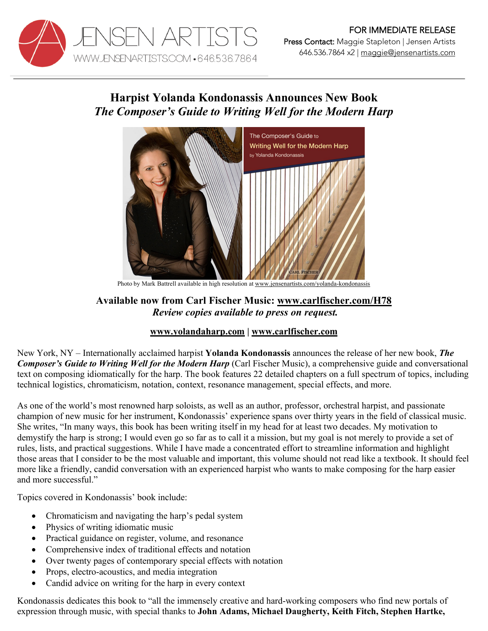

646.536.7864 x2 | maggie@jensenartists.com

## **Harpist Yolanda Kondonassis Announces New Book** *The Composer's Guide to Writing Well for the Modern Harp*



Photo by Mark Battrell available in high resolution at www.jensenartists.com/yolanda-kondonassis

## **Available now from Carl Fischer Music: www.carlfischer.com/H78** *Review copies available to press on request.*

## **www.yolandaharp.com | www.carlfischer.com**

New York, NY – Internationally acclaimed harpist **Yolanda Kondonassis** announces the release of her new book, *The Composer's Guide to Writing Well for the Modern Harp* (Carl Fischer Music), a comprehensive guide and conversational text on composing idiomatically for the harp. The book features 22 detailed chapters on a full spectrum of topics, including technical logistics, chromaticism, notation, context, resonance management, special effects, and more.

As one of the world's most renowned harp soloists, as well as an author, professor, orchestral harpist, and passionate champion of new music for her instrument, Kondonassis' experience spans over thirty years in the field of classical music. She writes, "In many ways, this book has been writing itself in my head for at least two decades. My motivation to demystify the harp is strong; I would even go so far as to call it a mission, but my goal is not merely to provide a set of rules, lists, and practical suggestions. While I have made a concentrated effort to streamline information and highlight those areas that I consider to be the most valuable and important, this volume should not read like a textbook. It should feel more like a friendly, candid conversation with an experienced harpist who wants to make composing for the harp easier and more successful."

Topics covered in Kondonassis' book include:

- Chromaticism and navigating the harp's pedal system
- Physics of writing idiomatic music
- Practical guidance on register, volume, and resonance
- Comprehensive index of traditional effects and notation
- Over twenty pages of contemporary special effects with notation
- Props, electro-acoustics, and media integration
- Candid advice on writing for the harp in every context

Kondonassis dedicates this book to "all the immensely creative and hard-working composers who find new portals of expression through music, with special thanks to **John Adams, Michael Daugherty, Keith Fitch, Stephen Hartke,**